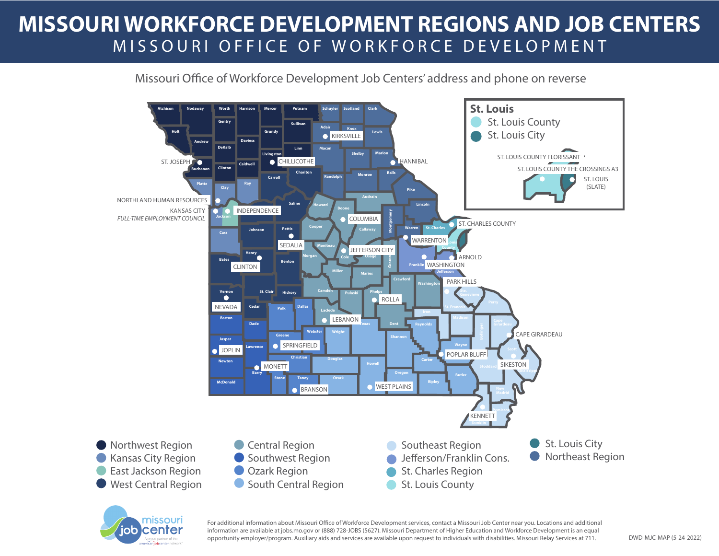## **MISSOURI WORKFORCE DEVELOPMENT REGIONS AND JOB CENTERS** MISSOURI OFFICE OF WORKFORCE DEVELOPMENT

Missouri Office of Workforce Development Job Centers' address and phone on reverse





For additional information about Missouri Office of Workforce Development services, contact a Missouri Job Center near you. Locations and additional information are available at jobs.mo.gov or (888) 728-JOBS (5627). Missouri Department of Higher Education and Workforce Development is an equal opportunity employer/program. Auxiliary aids and services are available upon request to individuals with disabilities. Missouri Relay Services at 711. DWD-MJC-MAP (5-24-2022)